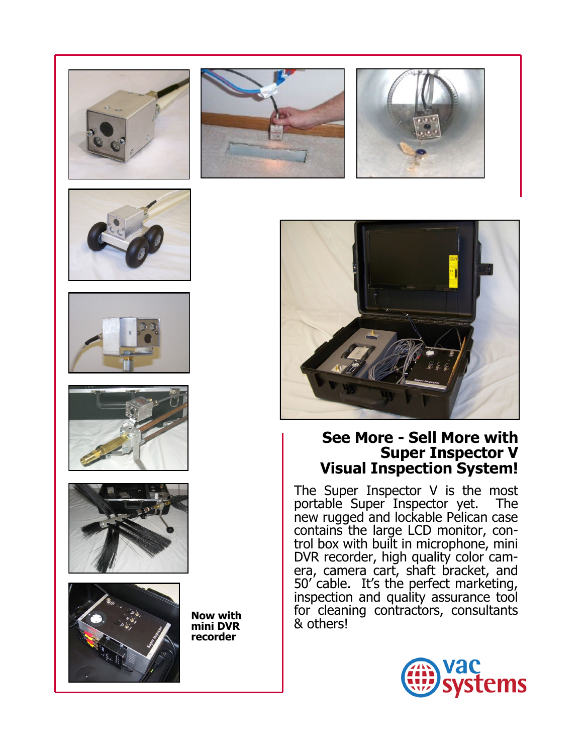











**mini DVR recorder** 







## **See More - Sell More with Super Inspector V Visual Inspection System!**

The Super Inspector V is the most portable Super Inspector yet. The new rugged and lockable Pelican case contains the large LCD monitor, control box with built in microphone, mini DVR recorder, high quality color camera, camera cart, shaft bracket, and 50' cable. It's the perfect marketing, inspection and quality assurance tool for cleaning contractors, consultants & others! **Now with**